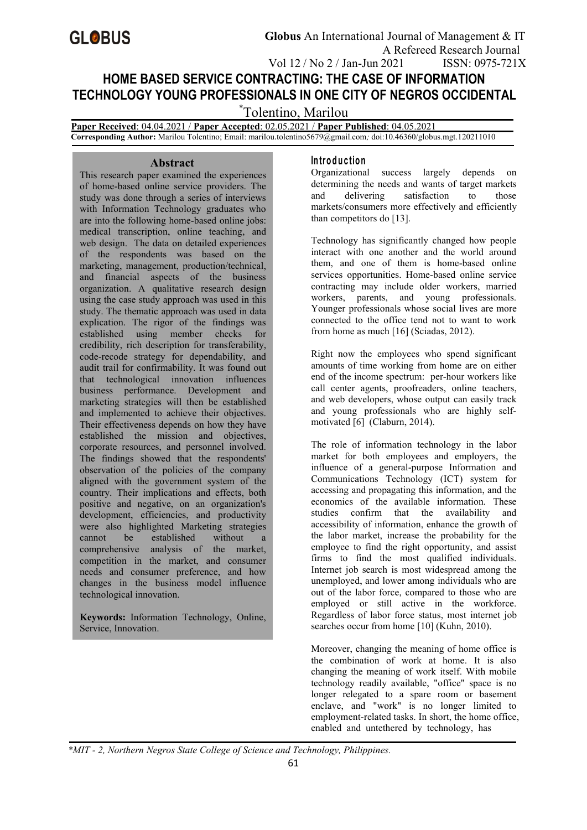# **GLOBUS**

## **HOME BASED SERVICE CONTRACTING: THE CASE OF INFORMATION TECHNOLOGY YOUNG PROFESSIONALS IN ONE CITY OF NEGROS OCCIDENTAL**

\*Tolentino, Marilou

**Paper Received**: 04.04.2021 / **Paper Accepted**: 02.05.2021 / **Paper Published**: 04.05.2021 **Corresponding Author:** Marilou Tolentino; Email: marilou.[tolentino5679@gmail.co](mailto:Mira@beds.ac.uk)m*;* doi:10.46360/globus.mgt.120211010

### **Abstract**

This research paper examined the experiences of home-based online service providers. The study was done through a series of interviews with Information Technology graduates who are into the following home-based online jobs: medical transcription, online teaching, and web design. The data on detailed experiences of the respondents was based on the marketing, management, production/technical, and financial aspects of the business organization. A qualitative research design using the case study approach was used in this study. The thematic approach was used in data explication. The rigor of the findings was established using member checks for credibility, rich description for transferability, code-recode strategy for dependability, and audit trail for confirmability. It was found out that technological innovation influences business performance. Development and marketing strategies will then be established and implemented to achieve their objectives. Their effectiveness depends on how they have established the mission and objectives, corporate resources, and personnel involved. The findings showed that the respondents' observation of the policies of the company aligned with the government system of the country. Their implications and effects, both positive and negative, on an organization's development, efficiencies, and productivity were also highlighted Marketing strategies<br>cannot be established without a cannot be established without a comprehensive analysis of the market, competition in the market, and consumer needs and consumer preference, and how changes in the business model influence technological innovation.

**Keywords:** Information Technology, Online, Service, Innovation.

### **In tro d u c tio n**

Organizational success largely depends on determining the needs and wants of target markets and delivering satisfaction to those markets/consumers more effectively and efficiently than competitors do [13].

Technology has significantly changed how people interact with one another and the world around them, and one of them is home-based online services opportunities. Home-based online service contracting may include older workers, married workers, parents, and young professionals. Younger professionals whose social lives are more connected to the office tend not to want to work from home as much [16] (Sciadas, 2012).

Right now the employees who spend significant amounts of time working from home are on either end of the income spectrum: per-hour workers like call center agents, proofreaders, online teachers, and web developers, whose output can easily track and young professionals who are highly self motivated [6] (Claburn, 2014).

The role of information technology in the labor market for both employees and employers, the influence of a general-purpose Information and Communications Technology (ICT) system for accessing and propagating this information, and the economics of the available information. These studies confirm that the availability and accessibility of information, enhance the growth of the labor market, increase the probability for the employee to find the right opportunity, and assist firms to find the most qualified individuals. Internet job search is most widespread among the unemployed, and lower among individuals who are out of the labor force, compared to those who are employed or still active in the workforce. Regardless of labor force status, most internet job searches occur from home [10] (Kuhn, 2010).

Moreover, changing the meaning of home office is the combination of work at home. It is also changing the meaning of work itself. With mobile technology readily available, "office" space is no longer relegated to a spare room or basement enclave, and "work" is no longer limited to employment-related tasks. In short, the home office, enabled and untethered by technology, has

*\*MIT - 2, Northern Negros State College of Science and Technology, Philippines.*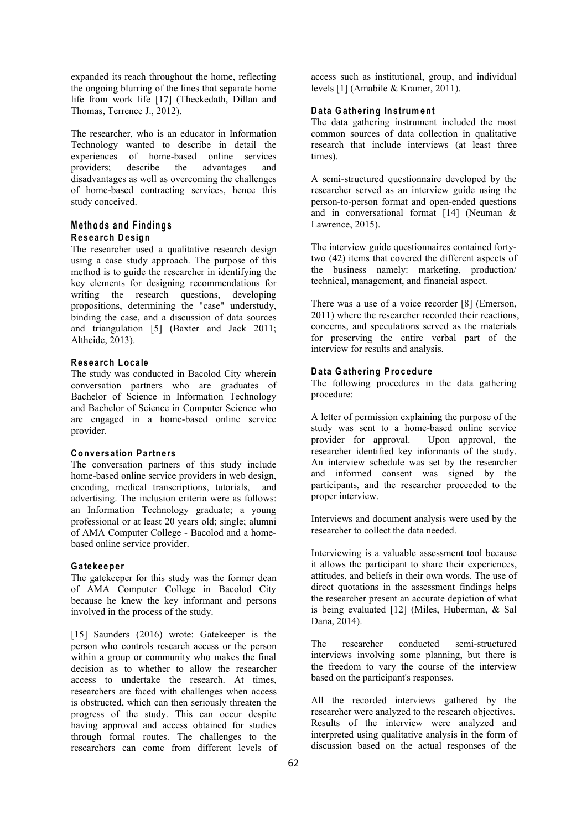expanded its reach throughout the home, reflecting the ongoing blurring of the lines that separate home life from work life [17] (Theckedath, Dillan and Thomas, Terrence J., 2012).

The researcher, who is an educator in Information Technology wanted to describe in detail the experiences of home-based online services<br>providers; describe the advantages and describe the advantages and disadvantages as well as overcoming the challenges of home-based contracting services, hence this study conceived.

### **M e th o d s an d F in d in g s Research Design**

The researcher used a qualitative research design using a case study approach. The purpose of this method is to guide the researcher in identifying the key elements for designing recommendations for writing the research questions, developing propositions, determining the "case" understudy, binding the case, and a discussion of data sources and triangulation [5] (Baxter and Jack 2011; Altheide, 2013).

### **Research Locale**

The study was conducted in Bacolod City wherein conversation partners who are graduates of Bachelor of Science in Information Technology and Bachelor of Science in Computer Science who are engaged in a home-based online service provider.

### **Conversation Partners**

The conversation partners of this study include home-based online service providers in web design, encoding, medical transcriptions, tutorials, and advertising. The inclusion criteria were as follows: an Information Technology graduate; a young professional or at least 20 years old; single; alumni of AMA Computer College - Bacolod and a home based online service provider.

### **Gatekeeper**

The gatekeeper for this study was the former dean of AMA Computer College in Bacolod City because he knew the key informant and persons involved in the process of the study.

[15] Saunders (2016) wrote: Gatekeeper is the person who controls research access or the person within a group or community who makes the final decision as to whether to allow the researcher access to undertake the research. At times, researchers are faced with challenges when access is obstructed, which can then seriously threaten the progress of the study. This can occur despite having approval and access obtained for studies through formal routes. The challenges to the researchers can come from different levels of

access such as institutional, group, and individual levels [1] (Amabile & Kramer, 2011).

### **Data Gathering Instrum ent**

The data gathering instrument included the most common sources of data collection in qualitative research that include interviews (at least three times).

A semi-structured questionnaire developed by the researcher served as an interview guide using the person-to-person format and open-ended questions and in conversational format [14] (Neuman & Lawrence, 2015).

The interview guide questionnaires contained fortytwo (42) items that covered the different aspects of the business namely: marketing, production/ technical, management, and financial aspect.

There was a use of a voice recorder [8] (Emerson, 2011) where the researcher recorded their reactions, concerns, and speculations served as the materials for preserving the entire verbal part of the interview for results and analysis.

### **Data Gathering Procedure**

The following procedures in the data gathering procedure:

A letter of permission explaining the purpose of the study was sent to a home-based online service provider for approval. Upon approval, the researcher identified key informants of the study. An interview schedule was set by the researcher and informed consent was signed by the participants, and the researcher proceeded to the proper interview.

Interviews and document analysis were used by the researcher to collect the data needed.

Interviewing is a valuable assessment tool because it allows the participant to share their experiences, attitudes, and beliefs in their own words. The use of direct quotations in the assessment findings helps the researcher present an accurate depiction of what is being evaluated [12] (Miles, Huberman, & Sal Dana, 2014).

conducted semi-structured interviews involving some planning, but there is the freedom to vary the course of the interview based on the participant's responses.

All the recorded interviews gathered by the researcher were analyzed to the research objectives. Results of the interview were analyzed and interpreted using qualitative analysis in the form of discussion based on the actual responses of the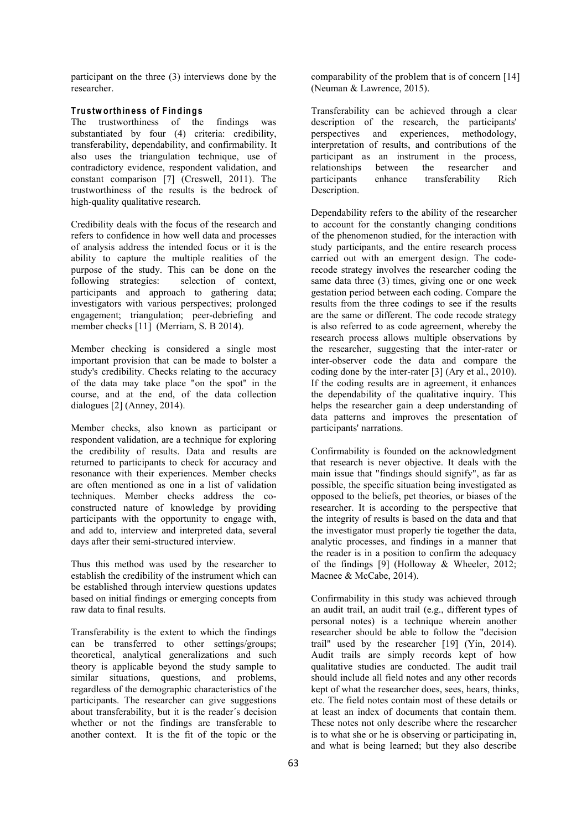participant on the three (3) interviews done by the researcher.

### **Trustworthiness of Findings**

The trustworthiness of the findings was substantiated by four (4) criteria: credibility, transferability, dependability, and confirmability. It also uses the triangulation technique, use of contradictory evidence, respondent validation, and<br>
constant comparison [7] (Creswell, 2011). The participants constant comparison [7] (Creswell, 2011). The trustworthiness of the results is the bedrock of high-quality qualitative research.

Credibility deals with the focus of the research and refers to confidence in how well data and processes of analysis address the intended focus or it is the ability to capture the multiple realities of the purpose of the study. This can be done on the following strategies: selection of context, participants and approach to gathering data; investigators with various perspectives; prolonged engagement; triangulation; peer-debriefing and member checks [11] (Merriam, S. B 2014).

Member checking is considered a single most important provision that can be made to bolster a study's credibility. Checks relating to the accuracy of the data may take place "on the spot" in the course, and at the end, of the data collection dialogues [2] (Anney, 2014).

Member checks, also known as participant or respondent validation, are a technique for exploring the credibility of results. Data and results are returned to participants to check for accuracy and resonance with their experiences. Member checks are often mentioned as one in a list of validation techniques. Member checks address the co constructed nature of knowledge by providing participants with the opportunity to engage with, and add to, interview and interpreted data, several days after their semi-structured interview.

Thus this method was used by the researcher to establish the credibility of the instrument which can be established through interview questions updates based on initial findings or emerging concepts from raw data to final results.

Transferability is the extent to which the findings can be transferred to other settings/groups; theoretical, analytical generalizations and such theory is applicable beyond the study sample to similar situations, questions, and problems, regardless of the demographic characteristics of the participants. The researcher can give suggestions about transferability, but it is the reader´s decision whether or not the findings are transferable to another context. It is the fit of the topic or the

comparability of the problem that is of concern [14] (Neuman & Lawrence, 2015).

Transferability can be achieved through aclear description of the research, the participants' perspectives and experiences, methodology, interpretation of results, and contributions of the participant as an instrument in the process,<br>relationships between the researcher and relationships between the researcher and enhance transferability Rich Description.

Dependability refers to the ability of the researcher to account for the constantly changing conditions of the phenomenon studied, for the interaction with study participants, and the entire research process carried out with an emergent design. The coderecode strategy involves the researcher coding the same data three (3) times, giving one or one week gestation period between each coding. Compare the results from the three codings to see if the results are the same or different. The code recode strategy is also referred to as code agreement, whereby the research process allows multiple observations by the researcher, suggesting that the inter-rater or inter-observer code the data and compare the coding done by the inter-rater [3] (Ary et al., 2010). If the coding results are in agreement, it enhances the dependability of the qualitative inquiry. This helps the researcher gain a deep understanding of data patterns and improves the presentation of participants' narrations.

Confirmability is founded on the acknowledgment that research is never objective. It deals with the main issue that"findings should signify", as far as possible, the specific situation being investigated as opposed to the beliefs, pet theories, or biases of the researcher. It is according to the perspective that the integrity of results is based on the data and that the investigator must properly tie together the data, analytic processes, and findings in a manner that the reader is in a position to confirm the adequacy of the findings [9] (Holloway & Wheeler, 2012; Macnee & McCabe, 2014).

Confirmability in this study was achieved through an audit trail, an audit trail (e.g., different types of personal notes) is a technique wherein another researcher should be able to follow the "decision trail" used by the researcher [19] (Yin, 2014). Audit trails are simply records kept of how qualitative studies are conducted. The audit trail should include all field notes and any other records kept of what the researcher does, sees, hears, thinks, etc. The field notes contain most of these details or at least an index of documents that contain them. These notes not only describe where the researcher is to what she or he is observing or participating in, and what is being learned; but they also describe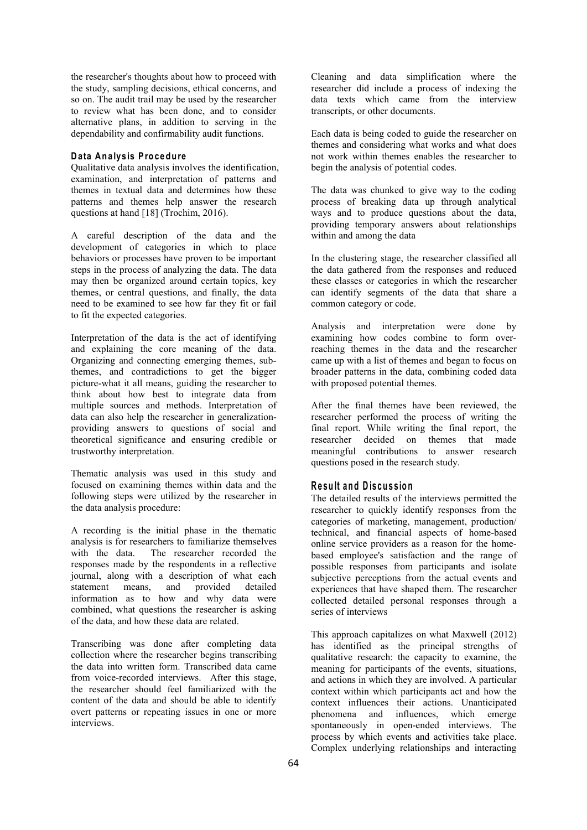the researcher's thoughts about how to proceed with the study, sampling decisions, ethical concerns, and so on. The audit trail may be used by the researcher to review what has been done, and to consider alternative plans, in addition to serving in the dependability and confirmability audit functions.

### **Data An alysis Procedure**

Qualitative data analysis involves the identification, examination, and interpretation of patterns and themes in textual data and determines how these patterns and themes help answer the research questions at hand [18] (Trochim, 2016).

A careful description of the data and the development of categories in which to place behaviors or processes have proven to be important steps in the process of analyzing the data. The data may then be organized around certain topics, key themes, or central questions, and finally, the data need to be examined to see how far they fit or fail to fit the expected categories.

Interpretation of the data is the act of identifying and explaining the core meaning of the data. Organizing and connecting emerging themes, subthemes, and contradictions to get the bigger picture-what it all means, guiding the researcher to think about how best to integrate data from multiple sources and methods. Interpretation of data can also help the researcher in generalization providing answers to questions of social and theoretical significance and ensuring credible or trustworthy interpretation.

Thematic analysis was used in this study and focused on examining themes within data and the following steps were utilized by the researcher in the data analysis procedure:

A recording is the initial phase in the thematic analysis is for researchers to familiarize themselves with the data. The researcher recorded the responses made by the respondents in a reflective journal, along with a description of what each statement means, and provided detailed information as to how and why data were combined, what questions the researcher is asking of the data, and how these data are related.

Transcribing was done after completing data collection where the researcher begins transcribing the data into written form. Transcribed data came from voice-recorded interviews. After this stage, the researcher should feel familiarized with the content of the data and should be able to identify overt patterns or repeating issues in one or more interviews.

Cleaning and data simplification where the researcher did include a process of indexing the data texts which came from the interview transcripts, or other documents.

Each data is being coded to guide the researcher on themes and considering what works and what does not work within themes enables the researcher to begin the analysis of potential codes.

The data was chunked to give way to the coding process of breaking data up through analytical ways and to produce questions about the data, providing temporary answers about relationships within and among the data

In the clustering stage, the researcher classified all the data gathered from the responses and reduced these classes or categories in which the researcher can identify segments of the data that share a common category or code.

Analysis and interpretation were done by examining how codes combine to form overreaching themes in the data and the researcher came up with a listof themes and began to focus on broader patterns in the data, combining coded data with proposed potential themes.

After the final themes have been reviewed, the researcher performed the process of writing the final report. While writing the final report, the researcher decided on themes that made meaningful contributions to answer research questions posed in the research study.

### **R e su lt an d D is cu s s io n**

The detailed results of the interviews permitted the researcher to quickly identify responses from the categories of marketing, management, production/ technical, and financial aspects of home-based online service providers as a reason for the home based employee's satisfaction and the range of possible responses from participants and isolate subjective perceptions from the actual events and experiences that have shaped them. The researcher collected detailed personal responses through a series of interviews

This approach capitalizes on what Maxwell (2012) has identified as the principal strengths of qualitative research: the capacity to examine, the meaning for participants of the events, situations, and actions in which they are involved. A particular context within which participants act and how the context influences their actions. Unanticipated phenomena and influences, which emerge spontaneously in open-ended interviews. The process by which events and activities take place. Complex underlying relationships and interacting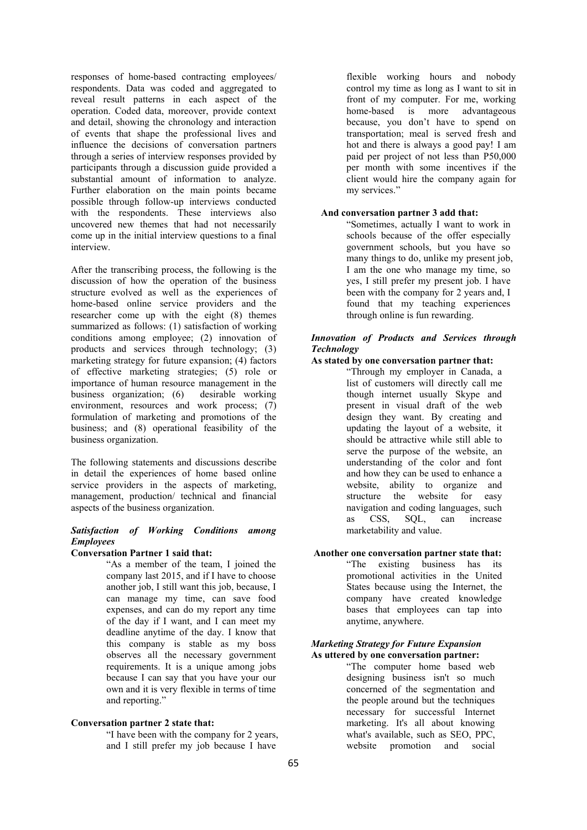responses of home-based contracting employees/ respondents. Data was coded and aggregated to reveal result patterns in each aspect of the operation. Coded data, moreover, provide context and detail, showing the chronology and interaction of events that shape the professional lives and influence the decisions of conversation partners through a series of interview responses provided by participants through a discussion guide provided a substantial amount of information to analyze. Further elaboration on the main points became possible through follow-up interviews conducted with the respondents. These interviews also uncovered new themes that had not necessarily come up in the initial interview questions to a final interview.

After the transcribing process, the following is the discussion of how the operation of the business structure evolved as well as the experiences of home-based online service providers and the researcher come up with the eight (8) themes summarized as follows: (1) satisfaction of working conditions among employee; (2) innovation of products and services through technology; (3) marketing strategy for future expansion; (4) factors of effective marketing strategies; (5) role or importance of human resource management in the<br>business organization; (6) desirable working business organization;  $(6)$ environment, resources and work process; (7) formulation of marketing and promotions of the business; and (8) operational feasibility of the business organization.

The following statements and discussions describe in detail the experiences of home based online service providers in the aspects of marketing, management, production/ technical and financial aspects of the business organization.

### *Satisfaction of Working Conditions among Employees*

#### **Conversation Partner 1 said that:**

"As a member of the team, I joined the company last 2015, and if I have to choose another job, I still want this job, because, I can manage my time, can save food expenses, and can do my report any time of the day if I want, and I can meet my deadline anytime of the day. I know that this company is stable as my boss observes all the necessary government requirements. It is a unique among jobs because I can say that you have your our own and it is very flexible in terms of time and reporting."

### **Conversation partner 2 state that:**

"I have been with the company for 2 years, and I still prefer my job because I have

flexible working hours and nobody control my time as long as I want to sit in front of my computer. For me, working home-based is more advantageous because, you don't have to spend on transportation; meal is served fresh and hot and there is always a good pay! I am paid per project of not less than P50,000 per month with some incentives if the client would hire the company again for my services."

### **And conversation partner 3 add that:**

"Sometimes, actually I want to work in schools because of the offer especially government schools, but you have so many things to do, unlike my present job, I am the one who manage my time, so yes, I still prefer my present job. I have been with the company for 2 years and, I found that my teaching experiences through online is fun rewarding.

### *Innovation of Products and Services through Technology*

### **As stated by one conversation partner that:**

"Through my employer in Canada, a list of customers will directly call me though internet usually Skype and present in visual draft of the web design they want. By creating and updating the layout of a website, it should be attractive while still able to serve the purpose of the website, an understanding of the color and font and how they can be used to enhance a website, ability to organize and structure the website for easy navigation and coding languages, such as CSS, SQL, can increase marketability and value.

**Another one conversation partner state that:** "The existing business has its promotional activities in the United States because using the Internet, the company have created knowledge bases that employees can tap into anytime, anywhere.

### *Marketing Strategy for Future Expansion* **As uttered by one conversation partner:**

"The computer home based web designing business isn't so much concerned of the segmentation and the people around but the techniques necessary for successful Internet marketing. It's all about knowing what's available, such as SEO, PPC, website promotion and social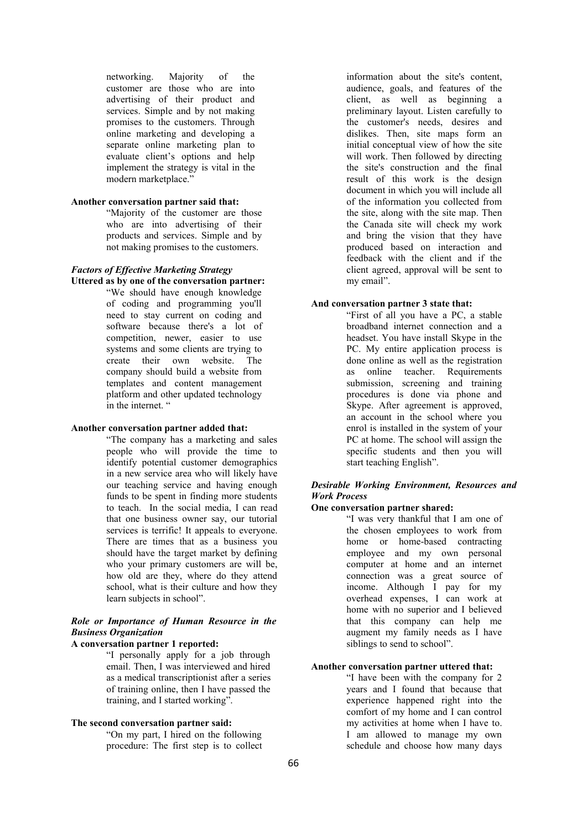networking. Majority of the customer are those who are into advertising of their product and services. Simple and by not making promises to the customers. Through online marketing and developing a separate online marketing plan to evaluate client's options and help implement the strategy is vital in the modern marketplace."

### **Another conversation partner said that:**

"Majority of the customer are those who are into advertising of their products and services. Simple and by not making promises to the customers.

### *Factors of Effective Marketing Strategy*

- **Uttered as by one of the conversation partner:**
	- "We should have enough knowledge of coding and programming you'll need to stay current on coding and software because there's a lot of competition, newer, easier to use systems and some clients are trying to create their own website. The company should build a website from templates and content management platform and other updated technology in the internet. "

### **Another conversation partner added that:**

"The company has a marketing and sales people who will provide the time to identify potential customer demographics in a new service area who will likely have our teaching service and having enough funds to be spent in finding more students to teach. In the social media, I can read that one business owner say, our tutorial services is terrific! It appeals to everyone. There are times that as a business you should have the target market by defining who your primary customers are will be,<br>how old are they, where do they attend school, what is their culture and how they learn subjects in school".

### *Role or Importance of Human Resource in the Business Organization*

### **A conversation partner 1 reported:**

"I personally apply for a job through email. Then, I was interviewed and hired as a medical transcriptionist after a series of training online, then I have passed the training, and I started working".

### **The second conversation partner said:**

"On my part, I hired on the following procedure: The first step is to collect

information about the site's content, audience, goals, and features of the client, as well as beginning a preliminary layout. Listen carefully to the customer's needs, desires and dislikes. Then, site maps form an initial conceptual view of how the site will work. Then followed by directing the site's construction and the final result of this work is the design document in which you will include all of the information you collected from the site, along with the site map. Then the Canada site will check my work and bring the vision that they have produced based on interaction and feedback with the client and if the client agreed, approval will be sent to my email".

#### **And conversation partner 3 state that:**

"First of all you have a PC, a stable broadband internet connection and a headset. You have install Skype in the PC. My entire application process is done online as well as the registration online teacher. Requirements submission, screening and training procedures is done via phone and Skype. After agreement is approved, an account in the school where you enrol is installed in the system of your PC at home. The school will assign the specific students and then you will start teaching English".

### *Desirable Working Environment, Resources and Work Process*

### **One conversation partner shared:**

"I was very thankful that I am one of the chosen employees to work from home or home-based contracting employee and my own personal computer at home and an internet connection was a great source of income. Although I pay for my overhead expenses, I can work at home with no superior and I believed that this company can help me augment my family needs as I have siblings to send to school".

### **Another conversation partner uttered that:**

"I have been with the company for 2 years and I found that because that experience happened right into the comfort of my home and I can control my activities at home when I have to. I am allowed to manage my own schedule and choose how many days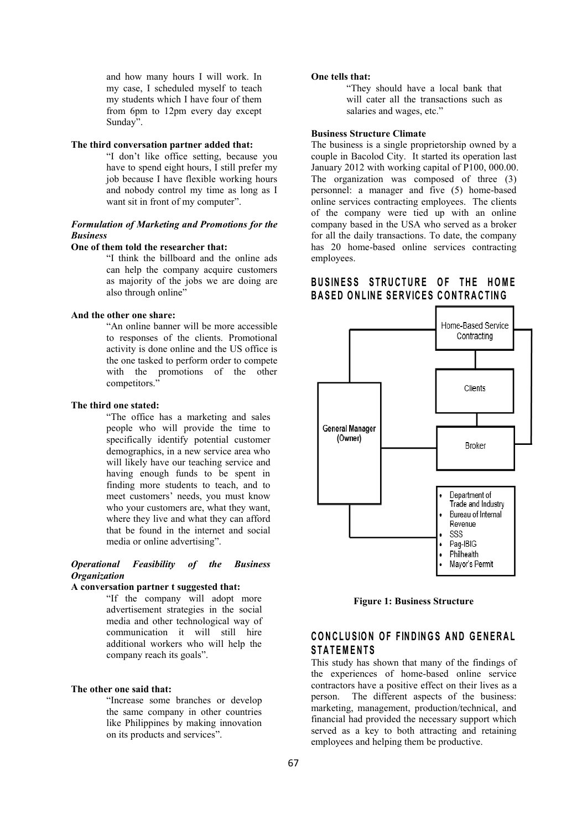and how many hours I will work. In my case, I scheduled myself to teach my students which I have four of them from 6pm to 12pm every day except Sunday".

### **The third conversation partner added that:**

"I don't like office setting, because you have to spend eight hours,  $\overline{I}$  still prefer my job because I have flexible working hours and nobody control my time as long as I want sit in front of my computer".

### *Formulation of Marketing and Promotions for the Business*

### **One of them told the researcher that:**

"I think the billboard and the online ads can help the company acquire customers as majority of the jobs we are doing are also through online"

#### **And the other one share:**

"An online banner will be more accessible to responses of the clients. Promotional activity is done online and the US office is the one tasked to perform order to compete with the promotions of the other competitors."

### **The third one stated:**

"The office has a marketing and sales people who will provide the time to<br>specifically identify notential customer (Owner) specifically identify potential customer demographics, in a new service area who will likely have our teaching service and having enough funds to be spent in finding more students to teach, and to meet customers' needs, you must know who your customers are, what they want, where they live and what they can afford that be found in the internet and social media or online advertising".

### *Operational Feasibility of the Business Organization*

#### **A conversation partner t suggested that:**

"If the company will adopt more advertisement strategies in the social media and other technological way of communication it will still hire additional workers who will help the company reach its goals".

### **The other one said that:**

"Increase some branches or develop the same company in other countries like Philippines by making innovation on its products and services".

#### **One tells that:**

"They should have a local bank that will cater all the transactions such as salaries and wages, etc."

#### **Business Structure Climate**

The business is a single proprietorship owned by a couple in Bacolod City. It started its operation last January 2012 with working capital of P100, 000.00. The organization was composed of three (3) personnel: a manager and five (5) home-based online services contracting employees. The clients of the company were tied up with an online company based in the USA who served as a broker for all the daily transactions. To date, the company has 20 home-based online services contracting employees.

### **B U S IN E S S S TR U C TU R E O F TH E HOM E B A S ED O N L IN E SER V IC E S CO N TR A C T ING**



**Figure 1: Business Structure**

### $CDNCLUSION OF FINDINGS AND GENERAL$ **S TA T EM EN T S**

This study has shown that many of the findings of the experiences of home-based online service contractors have a positive effect on their lives as a person. The different aspects of the business: marketing, management, production/technical, and financial had provided the necessary support which served as a key to both attracting and retaining employees and helping them be productive.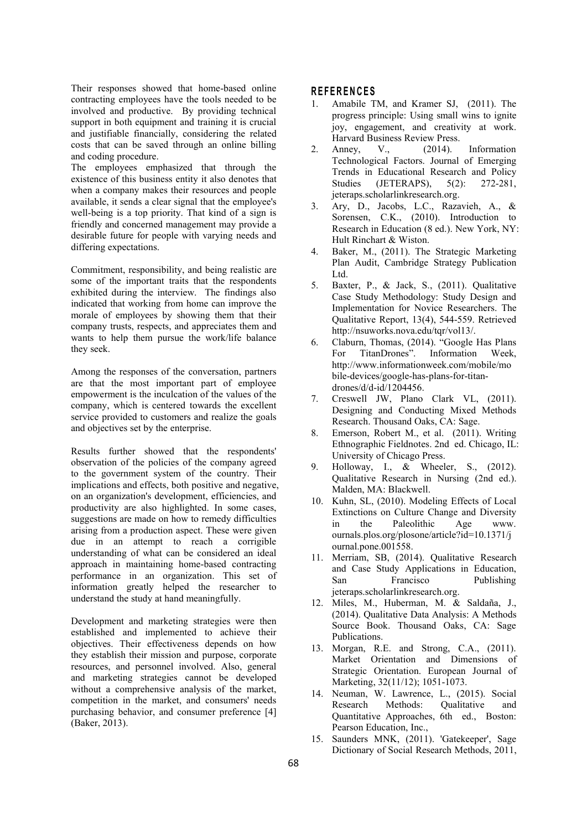Their responses showed that home-based online contracting employees have the tools needed to be  $\frac{1}{1}$ involved and productive. By providing technical support in both equipment and training it is crucial and justifiable financially, considering the related costs that can be saved through an online billing  $\frac{1}{2}$ . Anney, and coding procedure.

The employees emphasized that through the existence of this business entity it also denotes that Studies when a company makes their resources and people available, it sends a clear signal that the employee's well-being is a top priority. That kind of a sign is friendly and concerned management may provide a desirable future for people with varying needs and differing expectations.

Commitment, responsibility, and being realistic are some of the important traits that the respondents  $\overline{5}$ . exhibited during the interview. The findings also indicated that working from home can improve the morale of employees by showing them that their company trusts, respects, and appreciates them and wants to help them pursue the work/life balance  $6.$ they seek.

Among the responses of the conversation, partners are that the most important part of employee empowerment is the inculcation of the values of the  $\frac{7}{6}$ company, which is centered towards the excellent service provided to customers and realize the goals and objectives set by the enterprise.

Results further showed that the respondents' observation of the policies of the company agreed  $\qquad \qquad \qquad 9$ to the government system of the country. Their implications and effects, both positive and negative, on an organization's development, efficiencies, and productivity are also highlighted. In some cases, suggestions are made on how to remedy difficulties  $\frac{2\pi}{\pi}$ suggestions are made on now to remedy difficulties  $\frac{1}{2}$  in the arising from a production aspect. These were given due in an attempt to reach a corrigible understanding of what can be considered an ideal approach in maintaining home-based contracting performance in an organization. This set of San information greatly helped the researcher to understand the study at hand meaningfully.

Development and marketing strategies were then established and implemented to achieve their objectives. Their effectiveness depends on how they establish their mission and purpose, corporate resources, and personnel involved. Also, general and marketing strategies cannot be developed without a comprehensive analysis of the market, competition in the market, and consumers' needs<br>Research purchasing behavior, and consumer preference [4] (Baker, 2013).

### **R E FER EN C E S**

- Amabile TM, and Kramer SJ, (2011). The progress principle: Using small wins to ignite joy, engagement, and creativity at work. Harvard Business Review Press.
- $V_{.}$ ,  $(2014)$ . Information Technological Factors. Journal of Emerging Trends in Educational Research and Policy (JETERAPS), 5(2): 272-281, jeteraps.scholarlinkresearch.org.
- 3. Ary, D., Jacobs, L.C., Razavieh, A., & Sorensen, C.K., (2010). Introduction to Research in Education (8 ed.). New York, NY: Hult Rinchart & Wiston.
- 4. Baker, M., (2011). The Strategic Marketing Plan Audit, Cambridge Strategy Publication Ltd.
- 5. Baxter, P., & Jack, S., (2011). Qualitative Case Study Methodology: Study Design and Implementation for Novice Researchers. The Qualitative Report, 13(4), 544-559. Retrieved <http://nsuworks.nova.edu/tqr/vol13/>.
- Claburn, Thomas, (2014). "Google Has Plans For TitanDrones". Information Week, [http://www.informationweek.com/mobile/mo](http://www.informationweek.com/mobile/mobile-devices/google-has-plans-for-titan-drones/d/d-id/1204456) bile-devices/google-has-plans-for-titan drones/d/d-id/1204456.
- Creswell JW, Plano Clark VL, (2011). Designing and Conducting Mixed Methods Research. Thousand Oaks, CA: Sage.
- 8. Emerson, Robert M., et al. (2011). Writing Ethnographic Fieldnotes. 2nd ed. Chicago, IL: University of Chicago Press.
- 9. Holloway, I., & Wheeler, S., (2012). Qualitative Research in Nursing (2nd ed.). Malden, MA: Blackwell.
- 10. Kuhn, SL, (2010). Modeling Effects of Local Extinctions on Culture Change and Diversity Paleolithic Age www. ournals.plos.org/plosone/article?id=10.1371/j ournal.pone.001558.
- 11. Merriam, SB, (2014). Qualitative Research and Case Study Applications in Education, Francisco Publishing jeteraps.scholarlinkresearch.org.
- 12. Miles, M., Huberman, M. & Saldaña, J., (2014). Qualitative Data Analysis: A Methods Source Book. Thousand Oaks, CA: Sage Publications.
- 13. Morgan, R.E. and Strong, C.A., (2011). Market Orientation and Dimensions of Strategic Orientation. European Journal of Marketing, 32(11/12); 1051-1073.
- 14. Neuman, W. Lawrence, L., (2015). Social Methods: Qualitative and Quantitative Approaches, 6th ed., Boston: Pearson Education, Inc.,
- 15. Saunders MNK, (2011). 'Gatekeeper', Sage Dictionary of Social Research Methods, 2011,